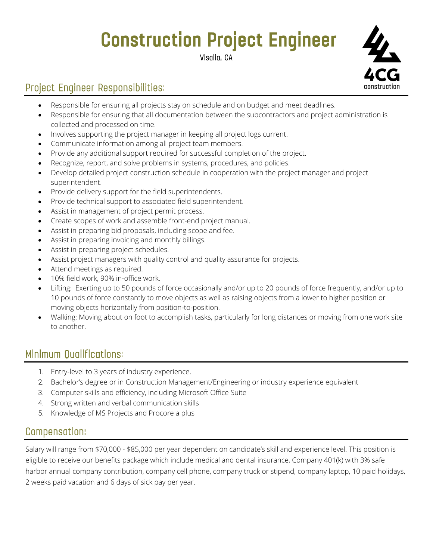# **Construction Project Engineer**

Visalia, CA



## Project Engineer Responsibilities:

- Responsible for ensuring all projects stay on schedule and on budget and meet deadlines.
- Responsible for ensuring that all documentation between the subcontractors and project administration is collected and processed on time.
- Involves supporting the project manager in keeping all project logs current.
- Communicate information among all project team members.
- Provide any additional support required for successful completion of the project.
- Recognize, report, and solve problems in systems, procedures, and policies.
- Develop detailed project construction schedule in cooperation with the project manager and project superintendent.
- Provide delivery support for the field superintendents.
- Provide technical support to associated field superintendent.
- Assist in management of project permit process.
- Create scopes of work and assemble front-end project manual.
- Assist in preparing bid proposals, including scope and fee.
- Assist in preparing invoicing and monthly billings.
- Assist in preparing project schedules.
- Assist project managers with quality control and quality assurance for projects.
- Attend meetings as required.
- 10% field work, 90% in-office work.
- Lifting: Exerting up to 50 pounds of force occasionally and/or up to 20 pounds of force frequently, and/or up to 10 pounds of force constantly to move objects as well as raising objects from a lower to higher position or moving objects horizontally from position-to-position.
- Walking: Moving about on foot to accomplish tasks, particularly for long distances or moving from one work site to another.

### Minimum Qualifications:

- 1. Entry-level to 3 years of industry experience.
- 2. Bachelor's degree or in Construction Management/Engineering or industry experience equivalent
- 3. Computer skills and efficiency, including Microsoft Office Suite
- 4. Strong written and verbal communication skills
- 5. Knowledge of MS Projects and Procore a plus

### Compensation:

Salary will range from \$70,000 - \$85,000 per year dependent on candidate's skill and experience level. This position is eligible to receive our benefits package which include medical and dental insurance, Company 401(k) with 3% safe harbor annual company contribution, company cell phone, company truck or stipend, company laptop, 10 paid holidays, 2 weeks paid vacation and 6 days of sick pay per year.